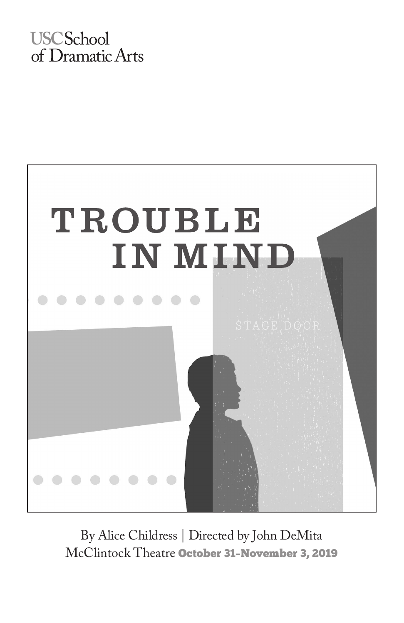## **USCSchool** of Dramatic Arts



By Alice Childress | Directed by John DeMita McClintock Theatre October 31–November 3, 2019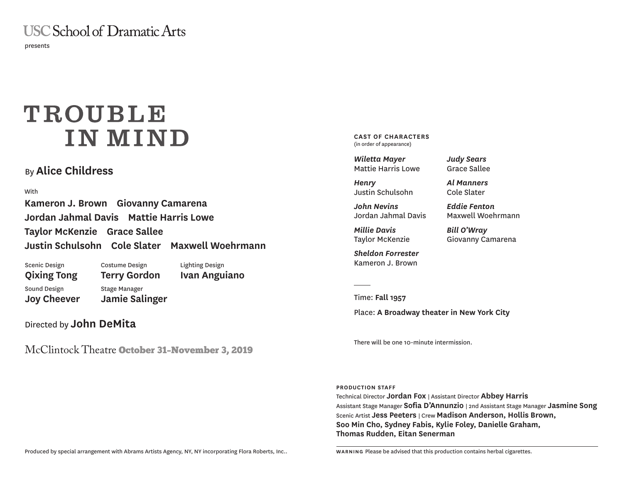**USC School of Dramatic Arts** 

presents

# TROUBLE **INMIND**

## By **Alice Childress**

With

**Kameron J. Brown Giovanny Camarena Jordan Jahmal Davis Mattie Harris Lowe Taylor McKenzie Grace Sallee Justin Schulsohn Cole Slater Maxwell Woehrmann**

Scenic Design **Qixing Tong** Sound Design **Joy Cheever** Costume Design **Terry Gordon** Lighting Design **Ivan Anguiano** Stage Manager **Jamie Salinger**

Directed by **John DeMita**

McClintock Theatre October 31–November 3, 2019

**CAST OF CHARACTERS**  (in order of appearance)

*Wiletta Mayer* Mattie Harris Lowe

*Henry* Justin Schulsohn

*John Nevins* Jordan Jahmal Davis

*Millie Davis* Taylor McKenzie

*Sheldon Forrester* Kameron J. Brown

*Judy Sears* Grace Sallee

*Al Manners* Cole Slater

*Eddie Fenton* Maxwell Woehrmann

*Bill O'Wray* Giovanny Camarena

Time: **Fall 1957**

Place: **A Broadway theater in New York City** 

There will be one 10-minute intermission.

**PRODUCTION STAFF**

Technical Director **Jordan Fox** | Assistant Director **Abbey Harris** Assistant Stage Manager **Sofia D'Annunzio** | 2nd Assistant Stage Manager **Jasmine Song** Scenic Artist **Jess Peeters** | Crew **Madison Anderson, Hollis Brown, Soo Min Cho, Sydney Fabis, Kylie Foley, Danielle Graham, Thomas Rudden, Eitan Senerman**

Produced by special arrangement with Abrams Artists Agency, NY, NY incorporating Flora Roberts, Inc..

**WARNING** Please be advised that this production contains herbal cigarettes.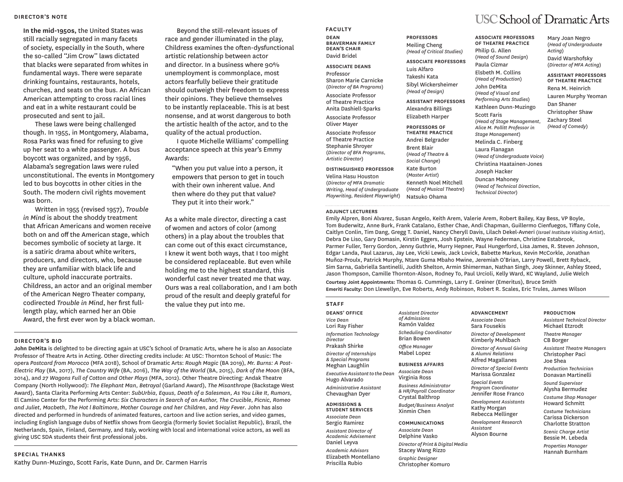#### **DIRECTOR'S NOTE**

**In the mid-1950s,** the United States was still racially segregated in many facets of society, especially in the South, where the so-called ''Jim Crow'' laws dictated that blacks were separated from whites in fundamental ways. There were separate drinking fountains, restaurants, hotels, churches, and seats on the bus. An African American attempting to cross racial lines and eat in a white restaurant could be prosecuted and sent to jail.

These laws were being challenged though. In 1955, in Montgomery, Alabama, Rosa Parks was fined for refusing to give up her seat to a white passenger. A bus boycott was organized, and by 1956, Alabama's segregation laws were ruled unconstitutional. The events in Montgomery led to bus boycotts in other cities in the South. The modern civil rights movement was born.

Written in 1955 (revised 1957), *Trouble in Mind* is about the shoddy treatment that African Americans and women receive both on and off the American stage, which becomes symbolic of society at large. It is a satiric drama about white writers, producers, and directors, who, because they are unfamiliar with black life and culture, uphold inaccurate portraits. Childress, an actor and an original member of the American Negro Theater company, codirected *Trouble in Mind*, her first fulllength play, which earned her an Obie Award, the first ever won by a black woman.

Beyond the still-relevant issues of race and gender illuminated in the play, Childress examines the often-dysfunctional artistic relationship between actor and director. In a business where 90% unemployment is commonplace, most actors fearfully believe their gratitude should outweigh their freedom to express their opinions. They believe themselves to be instantly replaceable. This is at best nonsense, and at worst dangerous to both the artistic health of the actor, and to the quality of the actual production.

I quote Michelle Williams' compelling acceptance speech at this year's Emmy Awards:

"When you put value into a person, it empowers that person to get in touch with their own inherent value. And then where do they put that value? They put it into their work."

As a white male director, directing a cast of women and actors of color (among others) in a play about the troubles that can come out of this exact circumstance, I knew it went both ways, that I too might be considered replaceable. But even while holding me to the highest standard, this wonderful cast never treated me that way. Ours was a real collaboration, and I am both proud of the result and deeply grateful for the value they put into me.

#### **DIRECTOR'S BIO**

**John DeMita** is delighted to be directing again at USC's School of Dramatic Arts, where he is also an Associate Professor of Theatre Arts in Acting. Other directing credits include: At USC: Thornton School of Music: The opera *Postcard from Morocco* (MFA 2018), School of Dramatic Arts: *Rough Magic* (BA 2019), *Mr. Burns: A Post-Electric Play* (BA, 2017), *The Country Wife* (BA, 2016), *The Way of the World* (BA, 2015), *Dark of the Moon* (BFA, 2014), and *27 Wagons Full of Cotton and Other Plays* (MFA, 2012). Other Theatre Directing: Andak Theatre Company (North Hollywood): *The Elephant Man, Betrayal* (Garland Award), *The Misanthrope* (Backstage West Award), Santa Clarita Performing Arts Center: *SubUrbia, Equus, Death of a Salesman, As You Like It, Rumors,* El Camino Center for the Performing Arts: *Six Characters in Search of an Author, The Crucible, Picnic, Romeo and Juliet, Macbeth, The Hot l Baltimore, Mother Courage and her Children*, and *Hay Fever*. John has also directed and performed in hundreds of animated features, cartoon and live action series, and video games, including English language dubs of Netflix shows from Georgia (formerly Soviet Socialist Republic), Brazil, the Netherlands, Spain, Finland, Germany, and Italy, working with local and international voice actors, as well as giving USC SDA students their first professional jobs.

#### **SPECIAL THANKS**

Kathy Dunn-Muzingo, Scott Faris, Kate Dunn, and Dr. Carmen Harris

**FACULTY DEAN BRAVERMAN FAMILY DEAN'S CHAIR** David Bridel

**ASSOCIATE DEANS** Professor Sharon Marie Carnicke (*Director of BA Programs*)

Associate Professor of Theatre Practice Anita Dashiell-Sparks Associate Professor Oliver Mayer Associate Professor of Theatre Practice Stephanie Shroyer

(*Director of BFA Programs, Artistic Director*)

**DISTINGUISHED PROFESSOR** Velina Hasu Houston (*Director of MFA Dramatic Writing, Head of Undergraduate Playwriting, Resident Playwright*)

#### **ADJUNCT LECTURERS**

**PROFESSORS** Meiling Cheng *(Head of Critical Studies)*

**ASSOCIATE PROFESSORS** Luis Alfaro Takeshi Kata Sibyl Wickersheimer

*(Head of Design)*

**ASSISTANT PROFESSORS** Alexandra Billings Elizabeth Harper

**PROFESSORS OF THEATRE PRACTICE** Andrei Belgrader Brent Blair (*Head of Theatre & Social Change*) Kate Burton (*Master Artist*) Kenneth Noel Mitchell (*Head of Musical Theatre*) Natsuko Ohama

# **USC School of Dramatic Arts**

**OF THEATRE PRACTICE** Philip G. Allen (*Head of Sound Design*) Paula Cizmar Elsbeth M. Collins (*Head of Production*) John DeMita (*Head of Visual and Performing Arts Studies*) Kathleen Dunn-Muzingo Scott Faris (*Head of Stage Management, Alice M. Pollitt Professor in Stage Management*) Melinda C. Finberg Laura Flanagan (*Head of Undergraduate Voice*) Christina Haatainen-Jones Joseph Hacker Duncan Mahoney (*Head of Technical Direction,* 

*Technical Director*)

**ADVANCEMENT** *Associate Dean* Sara Fousekis *Director of Development* Kimberly Muhlbach

*& Alumni Relations* Alfred Magallanes

Marissa Gonzalez *Special Events Program Coordinator* Jennifer Rose Franco *Development Assistants* Kathy Morgan Rebecca Mellinger *Development Research* 

*Assistant* Alyson Bourne

**ASSOCIATE PROFESSORS** 

Mary Joan Negro (*Head of Undergraduate Acting*) David Warshofsky (*Director of MFA Acting*)

**ASSISTANT PROFESSORS OF THEATRE PRACTICE** Rena M. Heinrich Lauren Murphy Yeoman Dan Shaner Christopher Shaw Zachary Steel *(Head of Comedy*)

Emily Alpren, Boni Alvarez, Susan Angelo, Keith Arem, Valerie Arem, Robert Bailey, Kay Bess, VP Boyle, Tom Buderwitz, Anne Burk, Frank Catalano, Esther Chae, Andi Chapman, Guillermo Cienfuegos, Tiffany Cole, Caitlyn Conlin, Tim Dang, Gregg T. Daniel, Nancy Cheryll Davis, Lilach Dekel-Avneri (*Israel Institute Visiting Artist*), Debra De Liso, Gary Domasin, Kirstin Eggers, Josh Epstein, Wayne Federman, Christine Estabrook, Parmer Fuller, Terry Gordon, Jenny Guthrie, Murry Hepner, Paul Hungerford, Lisa James, R. Steven Johnson, Edgar Landa, Paul Lazarus, Jay Lee, Vicki Lewis, Jack Lovick, Babette Markus, Kevin McCorkle, Jonathan Muñoz-Proulx, Patrick Murphy, Ntare Guma Mbaho Mwine, Jeremiah O'Brian, Larry Powell, Brett Ryback, Sim Sarna, Gabriella Santinelli, Judith Shelton, Armin Shimerman, Nathan Singh, Joey Skinner, Ashley Steed, Jason Thompson, Camille Thornton-Alson, Rodney To, Paul Urcioli, Kelly Ward, KC Wayland, Julie Welch

**Courtesy Joint Appointments:** Thomas G. Cummings, Larry E. Greiner (Emeritus), Bruce Smith **Emeriti Faculty:** Don Llewellyn, Eve Roberts, Andy Robinson, Robert R. Scales, Eric Trules, James Wilson

#### **STAFF**

**DEANS' OFFICE** *Vice Dean* Lori Ray Fisher *Information Technology Director* Prakash Shirke *Director of Internships & Special Programs*  Meghan Laughlin  $E$ *xecutive Assistant to the Dean* Hugo Alvarado *Administrative Assistant* Chevaughan Dyer **ADMISSIONS &** 

**STUDENT SERVICES** *Associate Dean* Sergio Ramirez *Assistant Director of Academic Advisement*  Daniel Leyva *Academic Advisors* Elizabeth Montellano Priscilla Rubio

*Assistant Director of Admissions* Ramón Valdez *Scheduling Coordinator* Brian Bowen *Office Manager* Mabel Lopez

#### **BUSINESS AFFAIRS**

*Associate Dean* Virginia Ross *Business Administrator & HR/Payroll Coordinator* Crystal Balthrop

*Budget/Business Analyst* Xinmin Chen

#### **COMMUNICATIONS** *Associate Dean* Delphine Vasko

*Director of Print & Digital Media* Stacey Wang Rizzo

*Graphic Designer* Christopher Komuro

*Director of Annual Giving Director of Special Events* **PRODUCTION** *Assistant Technical Director*  Michael Etzrodt *Theatre Manager*  CB Borger *Assistant Theatre Managers*  Christopher Paci Joe Shea *Production Technician* 

Donavan Martinelli *Sound Supervisor*  Alysha Bermudez *Costume Shop Manager*  Howard Schmitt *Costume Technicians* 

Carissa Dickerson Charlotte Stratton *Scenic Charge Artist* 

Bessie M. Lebeda *Properties Manager* 

## Hannah Burnham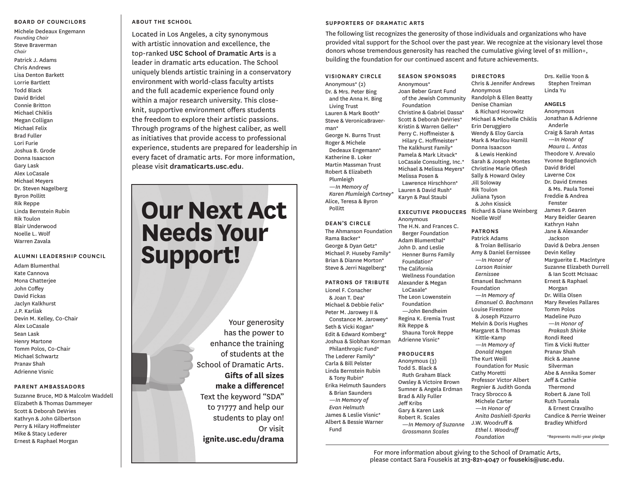#### **BOARD OF COUNCILORS**

Michele Dedeaux Engemann *Founding Chair*  Steve Braverman *Chair* Patrick J. Adams Chris Andrews Lisa Denton Barkett Lorrie Bartlett Todd Black David Bridel Connie Britton Michael Chiklis Megan Colligan Michael Felix Brad Fuller Lori Furie Joshua B. Grode Donna Isaacson Gary Lask Alex LoCasale Michael Meyers Dr. Steven Nagelberg Byron Pollitt Rik Reppe Linda Bernstein Rubin Rik Toulon Blair Underwood Noelle L. Wolf Warren Zavala

#### **ALUMNI LEADERSHIP COUNCIL**

Adam Blumenthal Kate Cannova Mona Chatterjee John Coffey David Fickas Jaclyn Kalkhurst J.P. Karliak Devin M. Kelley, Co-Chair Alex LoCasale Sean Lask Henry Martone Tomm Polos, Co-Chair Michael Schwartz Pranav Shah Adrienne Visnic

#### **PARENT AMBASSADORS**

Suzanne Bruce, MD & Malcolm Waddell Elizabeth & Thomas Dammeyer Scott & Deborah DeVries Kathryn & John Gilbertson Perry & Hilary Hoffmeister Mike & Stacy Lederer Ernest & Raphael Morgan

### **ABOUT THE SCHOOL**

Located in Los Angeles, a city synonymous with artistic innovation and excellence, the top-ranked **USC School of Dramatic Arts** is a leader in dramatic arts education. The School uniquely blends artistic training in a conservatory environment with world-class faculty artists and the full academic experience found only within a major research university. This closeknit, supportive environment offers students the freedom to explore their artistic passions. Through programs of the highest caliber, as well as initiatives that provide access to professional experience, students are prepared for leadership in every facet of dramatic arts. For more information, please visit **dramaticarts.usc.edu**.

# **Our Next Act Needs Your Support!**

Your generosity has the power to enhance the training of students at the School of Dramatic Arts. **Gifts of all sizes make a difference!**  Text the keyword "SDA" to 71777 and help our students to play on! Or visit **ignite.usc.edu/drama**

#### **SUPPORTERS OF DRAMATIC ARTS**

The following list recognizes the generosity of those individuals and organizations who have provided vital support for the School over the past year. We recognize at the visionary level those donors whose tremendous generosity has reached the cumulative giving level of \$1 million+, building the foundation for our continued ascent and future achievements.

**VISIONARY CIRCLE** Anonymous\* (2) Dr. & Mrs. Peter Bing and the Anna H. Bing Living Trust Lauren & Mark Booth\* Steve & VeronicaBraverman\* George N. Burns Trust Roger & Michele Dedeaux Engemann\* Katherine B. Loker Martin Massman Trust Robert & Elizabeth Plumleigh *—In Memory of Karen Plumleigh Cortney\** Alice, Teresa & Byron

**DEAN'S CIRCLE** The Ahmanson Foundation Rama Backer\* George & Dyan Getz\* Michael P. Huseby Family\* Brian & Dianne Morton\* Steve & Jerri Nagelberg\*

Pollitt

**PATRONS OF TRIBUTE** Lionel F. Conacher & Joan T. Dea\* Michael & Debbie Felix\* Peter M. Jarowey II & Constance M. Jarowey\* Seth & Vicki Kogan\* Edit & Edward Komberg\* Joshua & Siobhan Korman Philanthropic Fund\* The Lederer Family\* Carla & Bill Pelster Linda Bernstein Rubin & Tony Rubin\* Erika Helmuth Saunders & Brian Saunders *—In Memory of Evan Helmuth*  James & Leslie Visnic\* Albert & Bessie Warner Fund

**SEASON SPONSORS** Anonymous\* Joan Beber Grant Fund of the Jewish Community Foundation Christine & Gabriel Dassa\* Scott & Deborah DeVries\* Kristin & Warren Geller\* Perry C. Hoffmeister & Hilary C. Hoffmeister\* The Kalkhurst Family\* Pamela & Mark Litvack\* LoCasale Consulting, Inc.\* Michael & Melissa Meyers\* Melissa Posen & Lawrence Hirschhorn\* Lauren & David Rush\* Karyn & Paul Staubi

**EXECUTIVE PRODUCERS** Anonymous The H.N. and Frances C. Berger Foundation Adam Blumenthal\* John D. and Leslie Henner Burns Family Foundation\* The California Wellness Foundation Alexander & Megan LoCasale\* The Leon Lowenstein Foundation —John Bendheim Regina K. Eremia Trust Rik Reppe & Shauna Torok Reppe Adrienne Visnic\*

#### **PRODUCERS** Anonymous (3)

Todd S. Black & Ruth Graham Black Owsley & Victoire Brown Sumner & Angela Erdman Brad & Ally Fuller Jeff Kribs Gary & Karen Lask Robert R. Scales —*In Memory of Suzanne Grossmann Scales*

**DIRECTORS** Chris & Jennifer Andrews Anonymous Randolph & Ellen Beatty Denise Chamian & Richard Horowitz Michael & Michelle Chiklis Erin Deruggiero Wendy & Eloy Garcia Mark & Marilou Hamill Donna Isaacson & Lewis Henkind Sarah & Joseph Montes Christine Marie Ofiesh Sally & Howard Oxley Jill Soloway Rik Toulon Juliana Tyson & John Kissick Richard & Diane Weinberg

Noelle Wolf **PATRONS** Patrick Adams & Troian Bellisario Amy & Daniel Eernissee *—In Honor of Larson Rainier Eernissee* Emanuel Bachmann Foundation —*In Memory of Emanuel O. Bachmann* Louise Firestone & Joseph Pizzurro Melvin & Doris Hughes Margaret & Thomas Kittle-Kamp *—In Memory of Donald Hagen* The Kurt Weill Foundation for Music Cathy Moretti Professor Victor Albert Regnier & Judith Gonda Tracy Sbrocco & Michele Carter *—In Honor of Anita Dashiell-Sparks* J.W. Woodruff & *Ethel I. Woodruff Foundation*

Drs. Kellie Yoon & Stephen Treiman Linda Yu

#### **ANGELS**

Anonymous Jonathan & Adrienne Anderle Craig & Sarah Antas *—In Honor of Maura L. Antas* Theodore V. Arevalo Yvonne Bogdanovich David Bridel Laverne Cox Dr. David Emmes & Ms. Paula Tomei Freddie & Andrea Fenster James P. Gearen Mary Beidler Gearen Kathryn Hahn Jane & Alexander Jackson David & Debra Jensen Devin Kelley Marguerite E. Maclntyre Suzanne Elizabeth Durrell & Ian Scott McIsaac Ernest & Raphael Morgan Dr. Willa Olsen Mary Reveles Pallares Tomm Polos Madeline Puzo *—In Honor of Prakash Shirke* Rondi Reed Tim & Vicki Rutter Pranav Shah Rick & Jeanne Silverman Abe & Annika Somer Jeff & Cathie Thermond Robert & Jane Toll Ruth Tuomala & Ernest Cravalho Candice & Perrie Weiner Bradley Whitford

\*Represents multi-year pledge